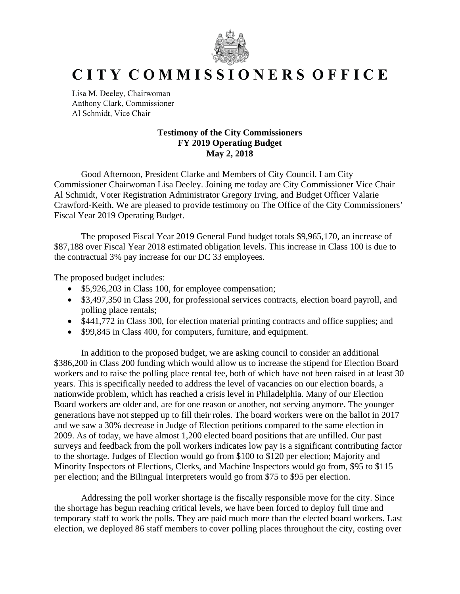

## CITY COMMISSIONERS OFFICE

Lisa M. Deeley, Chairwoman Anthony Clark, Commissioner Al Schmidt, Vice Chair

## **Testimony of the City Commissioners FY 2019 Operating Budget May 2, 2018**

Good Afternoon, President Clarke and Members of City Council. I am City Commissioner Chairwoman Lisa Deeley. Joining me today are City Commissioner Vice Chair Al Schmidt, Voter Registration Administrator Gregory Irving, and Budget Officer Valarie Crawford-Keith. We are pleased to provide testimony on The Office of the City Commissioners' Fiscal Year 2019 Operating Budget.

The proposed Fiscal Year 2019 General Fund budget totals \$9,965,170, an increase of \$87,188 over Fiscal Year 2018 estimated obligation levels. This increase in Class 100 is due to the contractual 3% pay increase for our DC 33 employees.

The proposed budget includes:

- \$5,926,203 in Class 100, for employee compensation;
- \$3,497,350 in Class 200, for professional services contracts, election board payroll, and polling place rentals;
- \$441,772 in Class 300, for election material printing contracts and office supplies; and
- \$99,845 in Class 400, for computers, furniture, and equipment.

In addition to the proposed budget, we are asking council to consider an additional \$386,200 in Class 200 funding which would allow us to increase the stipend for Election Board workers and to raise the polling place rental fee, both of which have not been raised in at least 30 years. This is specifically needed to address the level of vacancies on our election boards, a nationwide problem, which has reached a crisis level in Philadelphia. Many of our Election Board workers are older and, are for one reason or another, not serving anymore. The younger generations have not stepped up to fill their roles. The board workers were on the ballot in 2017 and we saw a 30% decrease in Judge of Election petitions compared to the same election in 2009. As of today, we have almost 1,200 elected board positions that are unfilled. Our past surveys and feedback from the poll workers indicates low pay is a significant contributing factor to the shortage. Judges of Election would go from \$100 to \$120 per election; Majority and Minority Inspectors of Elections, Clerks, and Machine Inspectors would go from, \$95 to \$115 per election; and the Bilingual Interpreters would go from \$75 to \$95 per election.

Addressing the poll worker shortage is the fiscally responsible move for the city. Since the shortage has begun reaching critical levels, we have been forced to deploy full time and temporary staff to work the polls. They are paid much more than the elected board workers. Last election, we deployed 86 staff members to cover polling places throughout the city, costing over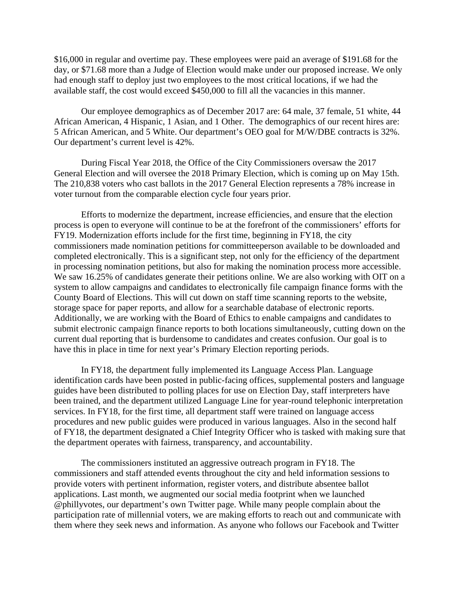\$16,000 in regular and overtime pay. These employees were paid an average of \$191.68 for the day, or \$71.68 more than a Judge of Election would make under our proposed increase. We only had enough staff to deploy just two employees to the most critical locations, if we had the available staff, the cost would exceed \$450,000 to fill all the vacancies in this manner.

Our employee demographics as of December 2017 are: 64 male, 37 female, 51 white, 44 African American, 4 Hispanic, 1 Asian, and 1 Other. The demographics of our recent hires are: 5 African American, and 5 White. Our department's OEO goal for M/W/DBE contracts is 32%. Our department's current level is 42%.

During Fiscal Year 2018, the Office of the City Commissioners oversaw the 2017 General Election and will oversee the 2018 Primary Election, which is coming up on May 15th. The 210,838 voters who cast ballots in the 2017 General Election represents a 78% increase in voter turnout from the comparable election cycle four years prior.

Efforts to modernize the department, increase efficiencies, and ensure that the election process is open to everyone will continue to be at the forefront of the commissioners' efforts for FY19. Modernization efforts include for the first time, beginning in FY18, the city commissioners made nomination petitions for committeeperson available to be downloaded and completed electronically. This is a significant step, not only for the efficiency of the department in processing nomination petitions, but also for making the nomination process more accessible. We saw 16.25% of candidates generate their petitions online. We are also working with OIT on a system to allow campaigns and candidates to electronically file campaign finance forms with the County Board of Elections. This will cut down on staff time scanning reports to the website, storage space for paper reports, and allow for a searchable database of electronic reports. Additionally, we are working with the Board of Ethics to enable campaigns and candidates to submit electronic campaign finance reports to both locations simultaneously, cutting down on the current dual reporting that is burdensome to candidates and creates confusion. Our goal is to have this in place in time for next year's Primary Election reporting periods.

In FY18, the department fully implemented its Language Access Plan. Language identification cards have been posted in public-facing offices, supplemental posters and language guides have been distributed to polling places for use on Election Day, staff interpreters have been trained, and the department utilized Language Line for year-round telephonic interpretation services. In FY18, for the first time, all department staff were trained on language access procedures and new public guides were produced in various languages. Also in the second half of FY18, the department designated a Chief Integrity Officer who is tasked with making sure that the department operates with fairness, transparency, and accountability.

The commissioners instituted an aggressive outreach program in FY18. The commissioners and staff attended events throughout the city and held information sessions to provide voters with pertinent information, register voters, and distribute absentee ballot applications. Last month, we augmented our social media footprint when we launched @phillyvotes, our department's own Twitter page. While many people complain about the participation rate of millennial voters, we are making efforts to reach out and communicate with them where they seek news and information. As anyone who follows our Facebook and Twitter